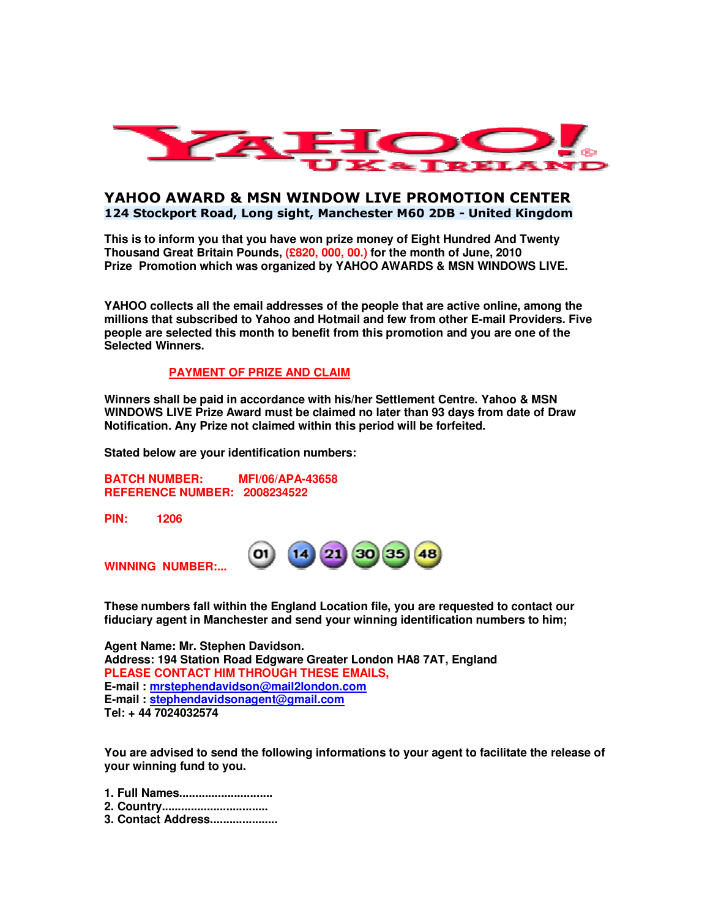

# **YAHOO AWARD & MSN WINDOW LIVE PROMOTION CENTER 124 Stockport Road, Long sight, Manchester M60 2DB - United Kingdom**

**This is to inform you that you have won prize money of Eight Hundred And Twenty Thousand Great Britain Pounds, (£820, 000, 00.) for the month of June, 2010 Prize Promotion which was organized by YAHOO AWARDS & MSN WINDOWS LIVE.**

**YAHOO collects all the email addresses of the people that are active online, among the millions that subscribed to Yahoo and Hotmail and few from other E-mail Providers. Five people are selected this month to benefit from this promotion and you are one of the Selected Winners.**

### **PAYMENT OF PRIZE AND CLAIM**

**Winners shall be paid in accordance with his/her Settlement Centre. Yahoo & MSN WINDOWS LIVE Prize Award must be claimed no later than 93 days from date of Draw Notification. Any Prize not claimed within this period will be forfeited.**

**Stated below are your identification numbers:** 

**BATCH NUMBER: MFI/06/APA-43658 REFERENCE NUMBER: 2008234522**

**PIN: 1206**

**O1 WINNING NUMBER:...** 

**These numbers fall within the England Location file, you are requested to contact our fiduciary agent in Manchester and send your winning identification numbers to him;**

**Agent Name: Mr. Stephen Davidson. Address: 194 Station Road Edgware Greater London HA8 7AT, England PLEASE CONTACT HIM THROUGH THESE EMAILS, E-mail : mrstephendavidson@mail2london.com E-mail : stephendavidsonagent@gmail.com Tel: + 44 7024032574** 

**You are advised to send the following informations to your agent to facilitate the release of your winning fund to you.**

- **1. Full Names.............................**
- **2. Country.................................**
- **3. Contact Address.....................**